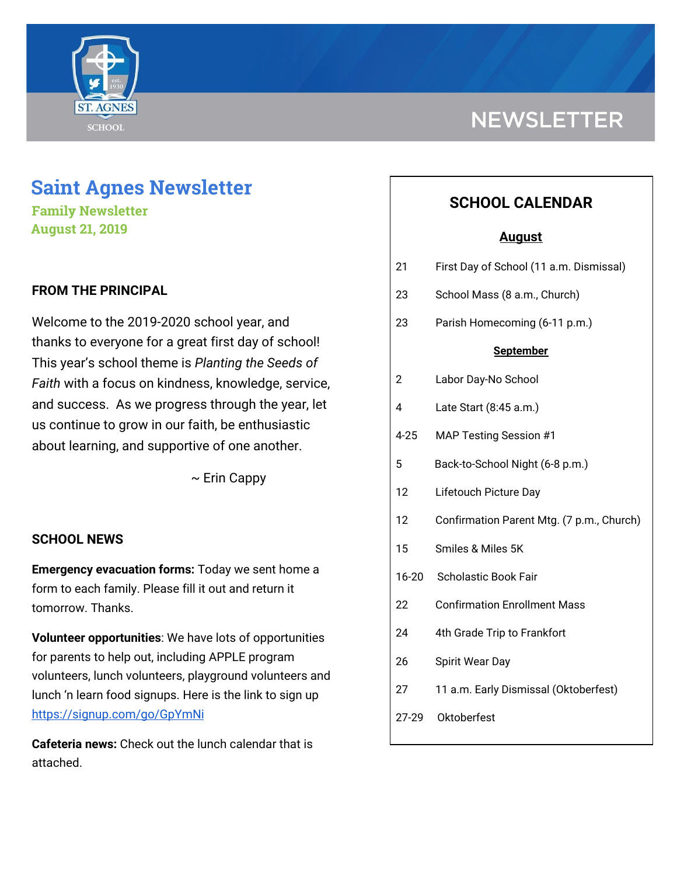

# **Saint Agnes Newsletter**

**Family Newsletter August 21, 2019**

## **FROM THE PRINCIPAL**

Welcome to the 2019-2020 school year, and thanks to everyone for a great first day of school! This year's school theme is *Planting the Seeds of Faith* with a focus on kindness, knowledge, service, and success. As we progress through the year, let us continue to grow in our faith, be enthusiastic about learning, and supportive of one another.

 $\sim$  Erin Cappy

### **SCHOOL NEWS**

**Emergency evacuation forms:** Today we sent home a form to each family. Please fill it out and return it tomorrow. Thanks.

**Volunteer opportunities**: We have lots of opportunities for parents to help out, including APPLE program volunteers, lunch volunteers, playground volunteers and lunch 'n learn food signups. Here is the link to sign up <https://signup.com/go/GpYmNi>

**Cafeteria news:** Check out the lunch calendar that is attached.

# **NEWSLETTER**

## **SCHOOL CALENDAR**

### **August**

| 21               | First Day of School (11 a.m. Dismissal)   |
|------------------|-------------------------------------------|
| 23               | School Mass (8 a.m., Church)              |
| 23               | Parish Homecoming (6-11 p.m.)             |
| <b>September</b> |                                           |
| 2                | Labor Day-No School                       |
| 4                | Late Start (8:45 a.m.)                    |
| $4 - 25$         | <b>MAP Testing Session #1</b>             |
| 5                | Back-to-School Night (6-8 p.m.)           |
| 12               | Lifetouch Picture Day                     |
| 12               | Confirmation Parent Mtg. (7 p.m., Church) |
| 15               | Smiles & Miles 5K                         |
| 16-20            | <b>Scholastic Book Fair</b>               |
| 22               | <b>Confirmation Enrollment Mass</b>       |
| 24               | 4th Grade Trip to Frankfort               |
| 26               | Spirit Wear Day                           |
| 27               | 11 a.m. Early Dismissal (Oktoberfest)     |
| 27-29            | Oktoberfest                               |
|                  |                                           |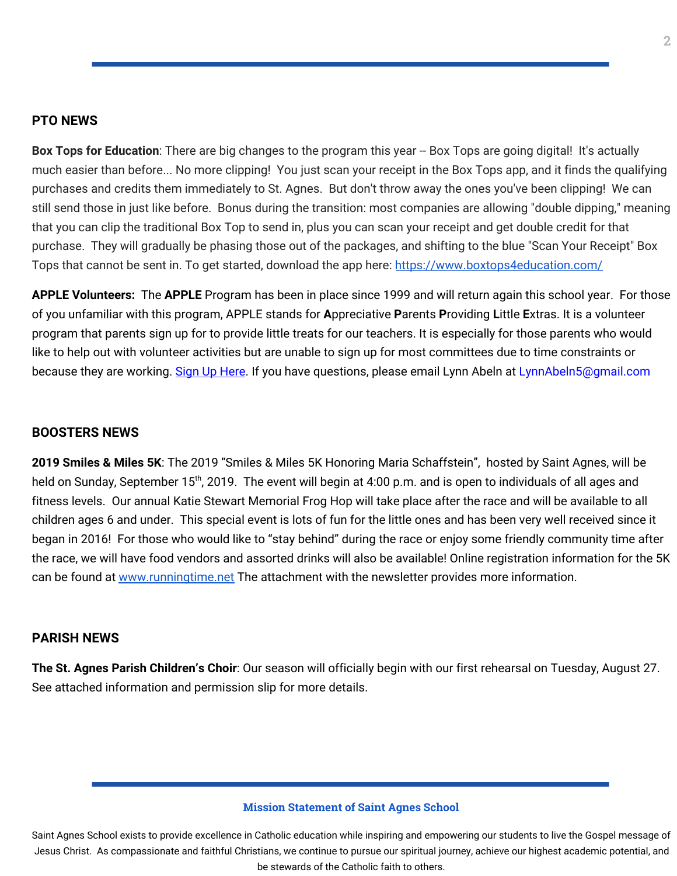#### **PTO NEWS**

**Box Tops for Education**: There are big changes to the program this year -- Box Tops are going digital! It's actually much easier than before... No more clipping! You just scan your receipt in the Box Tops app, and it finds the qualifying purchases and credits them immediately to St. Agnes. But don't throw away the ones you've been clipping! We can still send those in just like before. Bonus during the transition: most companies are allowing "double dipping," meaning that you can clip the traditional Box Top to send in, plus you can scan your receipt and get double credit for that purchase. They will gradually be phasing those out of the packages, and shifting to the blue "Scan Your Receipt" Box Tops that cannot be sent in. To get started, download the app here: <https://www.boxtops4education.com/>

**APPLE Volunteers:** The **APPLE** Program has been in place since 1999 and will return again this school year. For those of you unfamiliar with this program, APPLE stands for **A**ppreciative **P**arents **P**roviding **L**ittle **E**xtras. It is a volunteer program that parents sign up for to provide little treats for our teachers. It is especially for those parents who would like to help out with volunteer activities but are unable to sign up for most committees due to time constraints or because they are working. Sign Up [Here](https://signup.com/client/invitation2/secure/2909099/false#/invitation). If you have questions, please email Lynn Abeln at LynnAbeln5@gmail.com

#### **BOOSTERS NEWS**

**2019 Smiles & Miles 5K**: The 2019 "Smiles & Miles 5K Honoring Maria Schaffstein", hosted by Saint Agnes, will be held on Sunday, September 15<sup>th</sup>, 2019. The event will begin at 4:00 p.m. and is open to individuals of all ages and fitness levels. Our annual Katie Stewart Memorial Frog Hop will take place after the race and will be available to all children ages 6 and under. This special event is lots of fun for the little ones and has been very well received since it began in 2016! For those who would like to "stay behind" during the race or enjoy some friendly community time after the race, we will have food vendors and assorted drinks will also be available! Online registration information for the 5K can be found at [www.runningtime.net](http://www.runningtime.net/) The attachment with the newsletter provides more information.

#### **PARISH NEWS**

**The St. Agnes Parish Children's Choir**: Our season will officially begin with our first rehearsal on Tuesday, August 27. See attached information and permission slip for more details.

#### **Mission Statement of Saint Agnes School**

Saint Agnes School exists to provide excellence in Catholic education while inspiring and empowering our students to live the Gospel message of Jesus Christ. As compassionate and faithful Christians, we continue to pursue our spiritual journey, achieve our highest academic potential, and be stewards of the Catholic faith to others.